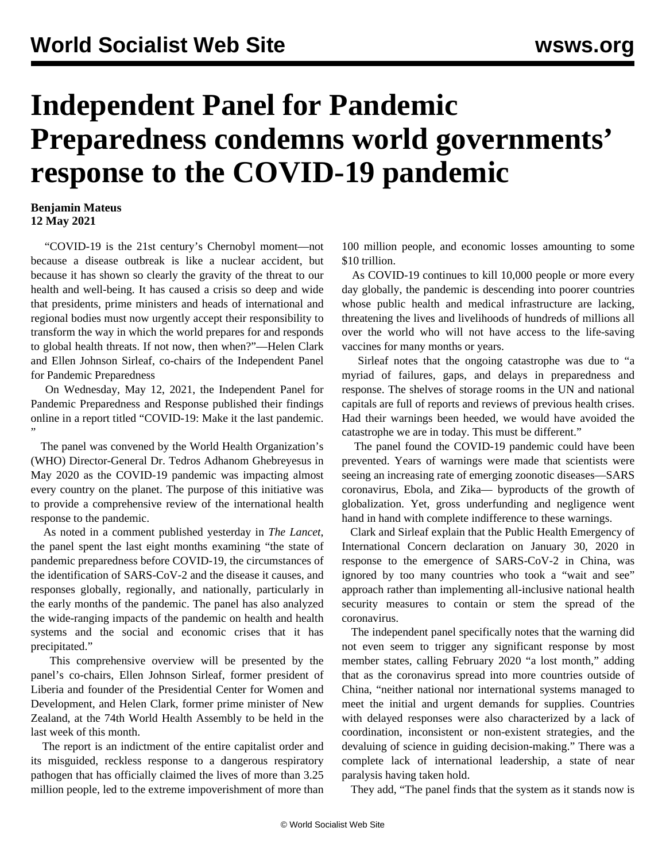## **Independent Panel for Pandemic Preparedness condemns world governments' response to the COVID-19 pandemic**

## **Benjamin Mateus 12 May 2021**

 "COVID-19 is the 21st century's Chernobyl moment—not because a disease outbreak is like a nuclear accident, but because it has shown so clearly the gravity of the threat to our health and well-being. It has caused a crisis so deep and wide that presidents, prime ministers and heads of international and regional bodies must now urgently accept their responsibility to transform the way in which the world prepares for and responds to global health threats. If not now, then when?"—Helen Clark and Ellen Johnson Sirleaf, co-chairs of the Independent Panel for Pandemic Preparedness

 On Wednesday, May 12, 2021, the Independent Panel for Pandemic Preparedness and Response published their findings online in a report titled "[COVID-19: Make it the last pandemic.](https://theindependentpanel.org/mainreport/) "

 The panel was convened by the World Health Organization's (WHO) Director-General Dr. Tedros Adhanom Ghebreyesus in May 2020 as the COVID-19 pandemic was impacting almost every country on the planet. The purpose of this initiative was to provide a comprehensive review of the international health response to the pandemic.

 As noted in a [comment](https://www.thelancet.com/journals/lancet/article/PIIS0140-6736(21)01095-3/fulltext?rss=yes) published yesterday in *The Lancet*, the panel spent the last eight months examining "the state of pandemic preparedness before COVID-19, the circumstances of the identification of SARS-CoV-2 and the disease it causes, and responses globally, regionally, and nationally, particularly in the early months of the pandemic. The panel has also analyzed the wide-ranging impacts of the pandemic on health and health systems and the social and economic crises that it has precipitated."

 This comprehensive overview will be presented by the panel's co-chairs, Ellen Johnson Sirleaf, former president of Liberia and founder of the Presidential Center for Women and Development, and Helen Clark, former prime minister of New Zealand, at the 74th World Health Assembly to be held in the last week of this month.

 The report is an indictment of the entire capitalist order and its misguided, reckless response to a dangerous respiratory pathogen that has officially claimed the lives of more than 3.25 million people, led to the extreme impoverishment of more than

100 million people, and economic losses amounting to some \$10 trillion.

 As COVID-19 continues to kill 10,000 people or more every day globally, the pandemic is descending into poorer countries whose public health and medical infrastructure are lacking, threatening the lives and livelihoods of hundreds of millions all over the world who will not have access to the life-saving vaccines for many months or years.

 Sirleaf notes that the ongoing catastrophe was due to "a myriad of failures, gaps, and delays in preparedness and response. The shelves of storage rooms in the UN and national capitals are full of reports and reviews of previous health crises. Had their warnings been heeded, we would have avoided the catastrophe we are in today. This must be different."

 The panel found the COVID-19 pandemic could have been prevented. Years of warnings were made that scientists were seeing an increasing rate of emerging zoonotic diseases—SARS coronavirus, Ebola, and Zika— byproducts of the growth of globalization. Yet, gross underfunding and negligence went hand in hand with complete indifference to these warnings.

 Clark and Sirleaf explain that the Public Health Emergency of International Concern declaration on January 30, 2020 in response to the emergence of SARS-CoV-2 in China, was ignored by too many countries who took a "wait and see" approach rather than implementing all-inclusive national health security measures to contain or stem the spread of the coronavirus.

 The independent panel specifically notes that the warning did not even seem to trigger any significant response by most member states, calling February 2020 "a lost month," adding that as the coronavirus spread into more countries outside of China, "neither national nor international systems managed to meet the initial and urgent demands for supplies. Countries with delayed responses were also characterized by a lack of coordination, inconsistent or non-existent strategies, and the devaluing of science in guiding decision-making." There was a complete lack of international leadership, a state of near paralysis having taken hold.

They add, "The panel finds that the system as it stands now is